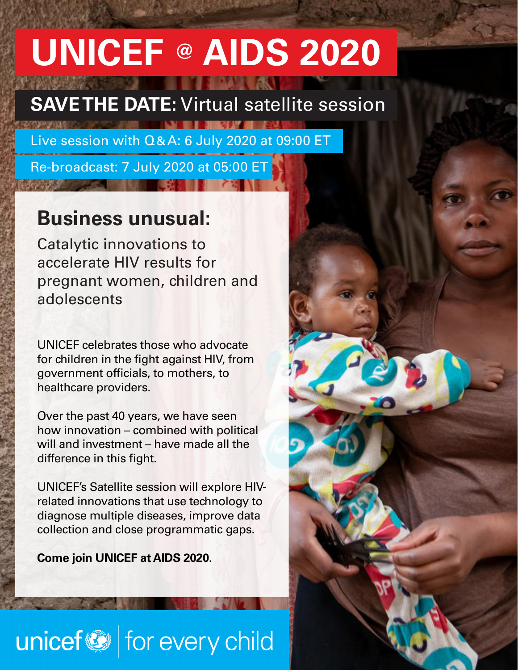# **UNICEF @ AIDS 2020**

## **SAVE THE DATE:** Virtual satellite session

Live session with Q&A: 6 July 2020 at 09:00 ET

Re-broadcast: 7 July 2020 at 05:00 ET

### **Business unusual:**

Catalytic innovations to accelerate HIV results for pregnant women, children and adolescents

UNICEF celebrates those who advocate for children in the fight against HIV, from government officials, to mothers, to healthcare providers.

Over the past 40 years, we have seen how innovation – combined with political will and investment – have made all the difference in this fight.

UNICEF's Satellite session will explore HIVrelated innovations that use technology to diagnose multiple diseases, improve data collection and close programmatic gaps.

**Come join UNICEF at AIDS 2020.**

## unicef<sup>®</sup> for every child